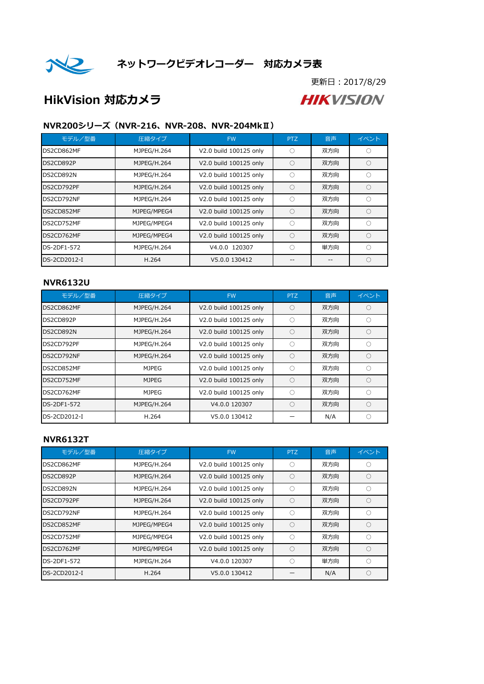

更新日:2017/8/29

# HikVision 対応カメラ

**HIKVISION** 

### NVR200シリーズ(NVR-216、NVR-208、NVR-204MkⅡ)

| モデル/型番       | 圧縮タイプ       | <b>FW</b>              | <b>PTZ</b> | 音声  | イベント                   |
|--------------|-------------|------------------------|------------|-----|------------------------|
| DS2CD862MF   | MJPEG/H.264 | V2.0 build 100125 only | ∩          | 双方向 |                        |
| DS2CD892P    | MJPEG/H.264 | V2.0 build 100125 only | Ω          | 双方向 |                        |
| DS2CD892N    | MJPEG/H.264 | V2.0 build 100125 only | Ω          | 双方向 | $\left( \cdot \right)$ |
| DS2CD792PF   | MJPEG/H.264 | V2.0 build 100125 only | $\bigcirc$ | 双方向 | ⊖                      |
| DS2CD792NF   | MJPEG/H.264 | V2.0 build 100125 only | Ω          | 双方向 |                        |
| DS2CD852MF   | MJPEG/MPEG4 | V2.0 build 100125 only | $\bigcirc$ | 双方向 | $\bigcirc$             |
| DS2CD752MF   | MJPEG/MPEG4 | V2.0 build 100125 only | ∩          | 双方向 | C                      |
| DS2CD762MF   | MJPEG/MPEG4 | V2.0 build 100125 only | Ω          | 双方向 |                        |
| DS-2DF1-572  | MJPEG/H.264 | V4.0.0 120307          | ∩          | 単方向 | C                      |
| DS-2CD2012-I | H.264       | V5.0.0 130412          |            |     | $\left( \right)$       |

#### NVR6132U

| モデル/型番       | 圧縮タイプ        | <b>FW</b>              | <b>PTZ</b> | 音声  | イベント             |
|--------------|--------------|------------------------|------------|-----|------------------|
| DS2CD862MF   | MJPEG/H.264  | V2.0 build 100125 only | ()         | 双方向 | $\left( \right)$ |
| DS2CD892P    | MJPEG/H.264  | V2.0 build 100125 only | ( )        | 双方向 |                  |
| DS2CD892N    | MJPEG/H.264  | V2.0 build 100125 only | ∩          | 双方向 | $\bigcirc$       |
| DS2CD792PF   | MJPEG/H.264  | V2.0 build 100125 only | ∩          | 双方向 | C                |
| DS2CD792NF   | MJPEG/H.264  | V2.0 build 100125 only | Ω          | 双方向 | $\bigcap$        |
| DS2CD852MF   | <b>MJPEG</b> | V2.0 build 100125 only | ( )        | 双方向 | C                |
| DS2CD752MF   | <b>MJPEG</b> | V2.0 build 100125 only | $\bigcirc$ | 双方向 | $\subset$        |
| DS2CD762MF   | <b>MJPEG</b> | V2.0 build 100125 only | ∩          | 双方向 | C                |
| DS-2DF1-572  | MJPEG/H.264  | V4.0.0 120307          | ( )        | 双方向 |                  |
| DS-2CD2012-I | H.264        | V5.0.0 130412          |            | N/A | C                |

#### NVR6132T

| モデル/型番       | 圧縮タイプ       | <b>FW</b>              | <b>PTZ</b> | 音声  | イベント                                                |
|--------------|-------------|------------------------|------------|-----|-----------------------------------------------------|
| DS2CD862MF   | MJPEG/H.264 | V2.0 build 100125 only | O          | 双方向 | $\left( \right)$                                    |
| DS2CD892P    | MJPEG/H.264 | V2.0 build 100125 only | Ω          | 双方向 | ∩                                                   |
| DS2CD892N    | MJPEG/H.264 | V2.0 build 100125 only | ( )        | 双方向 |                                                     |
| DS2CD792PF   | MJPEG/H.264 | V2.0 build 100125 only | ∩          | 双方向 | $\left( \begin{array}{c} \cdot \end{array} \right)$ |
| DS2CD792NF   | MJPEG/H.264 | V2.0 build 100125 only | ∩          | 双方向 |                                                     |
| DS2CD852MF   | MJPEG/MPEG4 | V2.0 build 100125 only | $\bigcirc$ | 双方向 | ∩                                                   |
| DS2CD752MF   | MJPEG/MPEG4 | V2.0 build 100125 only | O          | 双方向 | ∩                                                   |
| DS2CD762MF   | MJPEG/MPEG4 | V2.0 build 100125 only | ∩          | 双方向 | ∩                                                   |
| DS-2DF1-572  | MJPEG/H.264 | V4.0.0 120307          | ∩          | 単方向 | ◠                                                   |
| DS-2CD2012-I | H.264       | V5.0.0 130412          |            | N/A |                                                     |